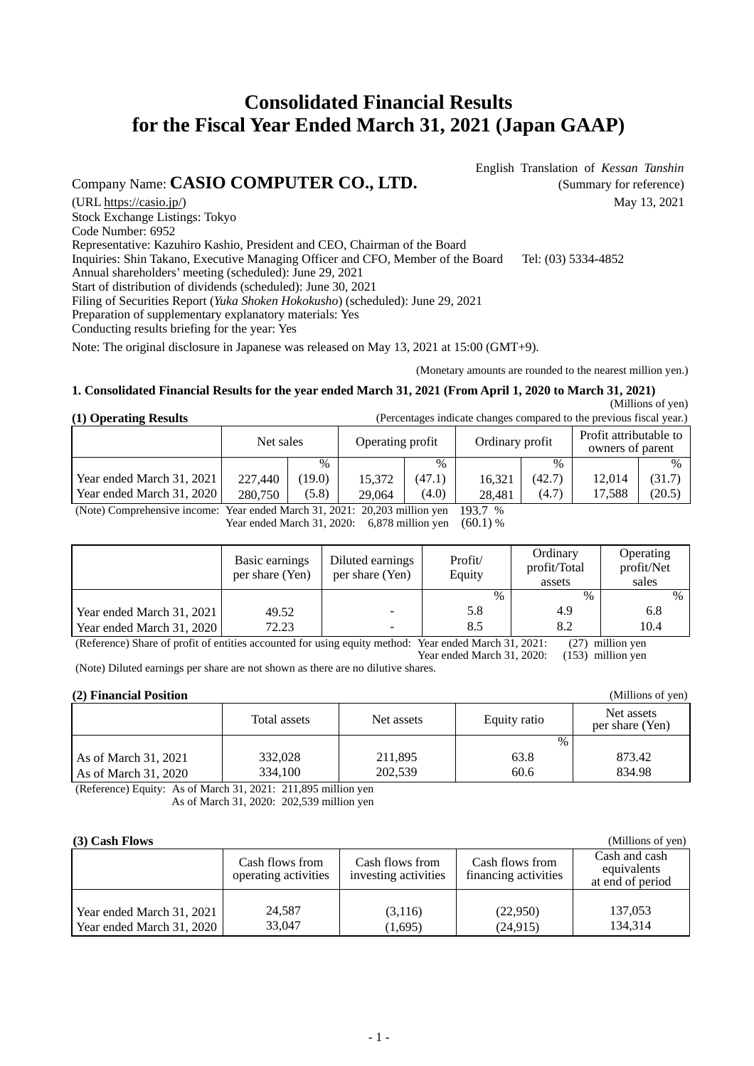# **Consolidated Financial Results for the Fiscal Year Ended March 31, 2021 (Japan GAAP)**

Company Name: **CASIO COMPUTER CO., LTD.** (Summary for reference)

English Translation of *Kessan Tanshin*

(URL https://casio.jp/) May 13, 2021 Stock Exchange Listings: Tokyo Code Number: 6952 Representative: Kazuhiro Kashio, President and CEO, Chairman of the Board Inquiries: Shin Takano, Executive Managing Officer and CFO, Member of the Board Tel: (03) 5334-4852 Annual shareholders' meeting (scheduled): June 29, 2021 Start of distribution of dividends (scheduled): June 30, 2021 Filing of Securities Report (*Yuka Shoken Hokokusho*) (scheduled): June 29, 2021 Preparation of supplementary explanatory materials: Yes Conducting results briefing for the year: Yes Note: The original disclosure in Japanese was released on May 13, 2021 at 15:00 (GMT+9).

(Monetary amounts are rounded to the nearest million yen.)

## **1. Consolidated Financial Results for the year ended March 31, 2021 (From April 1, 2020 to March 31, 2021)**

#### (Millions of yen)

(Millions of yen)

|  | (1) Operating Results |
|--|-----------------------|
|  |                       |

| (1) Operating Results     | (Percentages indicate changes compared to the previous fiscal year.) |               |                  |        |                 |        |                                            |        |
|---------------------------|----------------------------------------------------------------------|---------------|------------------|--------|-----------------|--------|--------------------------------------------|--------|
|                           | Net sales                                                            |               | Operating profit |        | Ordinary profit |        | Profit attributable to<br>owners of parent |        |
|                           |                                                                      | $\frac{0}{0}$ |                  | $\%$   |                 | $\%$   |                                            | $\%$   |
| Year ended March 31, 2021 | 227,440                                                              | (19.0)        | 15.372           | (47.1) | 16.321          | (42.7) | 12.014                                     | (31.7) |
| Year ended March 31, 2020 | 280,750                                                              | (5.8)         | 29,064           | (4.0)  | 28.481          | (4.7)  | 17.588                                     | (20.5) |

(Note) Comprehensive income: Year ended March 31, 2021: 20,203 million yen 193.7 %

Year ended March 31, 2020: 6,878 million yen (60.1) %

|                           | Basic earnings<br>per share (Yen) | Diluted earnings<br>per share (Yen) | Profit/<br>Equity | Ordinary<br>profit/Total<br>assets | Operating<br>profit/Net<br>sales |
|---------------------------|-----------------------------------|-------------------------------------|-------------------|------------------------------------|----------------------------------|
|                           |                                   |                                     | $\%$              | $\frac{0}{0}$                      | $\frac{0}{0}$                    |
| Year ended March 31, 2021 | 49.52                             |                                     | 5.8               | 4.9                                | 6.8                              |
| Year ended March 31, 2020 | 72.23                             |                                     | 8.5               | 8.2                                | 10.4                             |
|                           |                                   |                                     |                   |                                    | $(27)$ 11'                       |

(Reference) Share of profit of entities accounted for using equity method: Year ended March 31, 2021: (27) million yen Year ended March 31, 2020: (153) million yen (Note) Diluted earnings per share are not shown as there are no dilutive shares.

## **(2) Financial Position**

| (2) Financial Position |              |            |              | (Millions of yen)             |
|------------------------|--------------|------------|--------------|-------------------------------|
|                        | Total assets | Net assets | Equity ratio | Net assets<br>per share (Yen) |
|                        |              |            | $\%$         |                               |
| As of March 31, 2021   | 332,028      | 211,895    | 63.8         | 873.42                        |
| As of March 31, 2020   | 334,100      | 202,539    | 60.6         | 834.98                        |

(Reference) Equity: As of March 31, 2021: 211,895 million yen As of March 31, 2020: 202,539 million yen

#### **(3) Cash Flows**

| $101$ vasil LIVIIS                                     |                                         |                                         |                                         | $\cdots$                                         |
|--------------------------------------------------------|-----------------------------------------|-----------------------------------------|-----------------------------------------|--------------------------------------------------|
|                                                        | Cash flows from<br>operating activities | Cash flows from<br>investing activities | Cash flows from<br>financing activities | Cash and cash<br>equivalents<br>at end of period |
| Year ended March 31, 2021<br>Year ended March 31, 2020 | 24,587<br>33,047                        | (3,116)<br>(1,695)                      | (22,950)<br>(24, 915)                   | 137,053<br>134.314                               |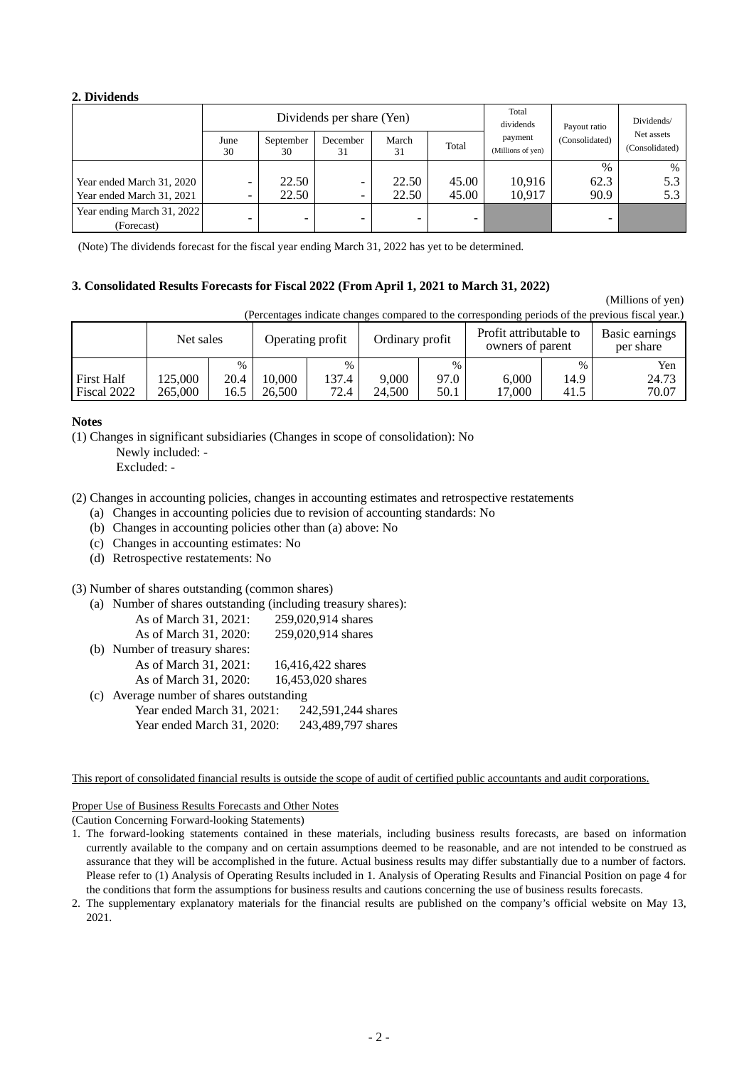## **2. Dividends**

|                            | Dividends per share (Yen) |                          |                |                          |       | Total<br>dividends           | Payout ratio   | Dividends/                   |
|----------------------------|---------------------------|--------------------------|----------------|--------------------------|-------|------------------------------|----------------|------------------------------|
|                            | June<br>30                | September<br>30          | December<br>31 | March<br>31              | Total | payment<br>(Millions of yen) | (Consolidated) | Net assets<br>(Consolidated) |
|                            |                           |                          |                |                          |       |                              | $\%$           | $\%$                         |
| Year ended March 31, 2020  |                           | 22.50                    | ۰              | 22.50                    | 45.00 | 10,916                       | 62.3           | 5.3                          |
| Year ended March 31, 2021  |                           | 22.50                    | -              | 22.50                    | 45.00 | 10.917                       | 90.9           | 5.3                          |
| Year ending March 31, 2022 |                           | $\overline{\phantom{0}}$ | -              | $\overline{\phantom{0}}$ | -     |                              |                |                              |
| (Forecast)                 |                           |                          |                |                          |       |                              |                |                              |

(Note) The dividends forecast for the fiscal year ending March 31, 2022 has yet to be determined.

#### **3. Consolidated Results Forecasts for Fiscal 2022 (From April 1, 2021 to March 31, 2022)**

(Millions of yen)

(Percentages indicate changes compared to the corresponding periods of the previous fiscal year.)

|                                  | Net sales          |              | Operating profit |               | Ordinary profit |              | Profit attributable to<br>owners of parent |              | Basic earnings<br>per share |
|----------------------------------|--------------------|--------------|------------------|---------------|-----------------|--------------|--------------------------------------------|--------------|-----------------------------|
|                                  |                    | $\%$         |                  | $\%$          |                 | $\%$         |                                            | $\%$         | Yen                         |
| <b>First Half</b><br>Fiscal 2022 | 125.000<br>265.000 | 20.4<br>16.5 | 0.000<br>26.500  | 137.4<br>72.4 | 9.000<br>24.500 | 97.0<br>50.1 | 6.000<br>17.000                            | 14.9<br>41.5 | 24.73<br>70.07              |

#### **Notes**

(1) Changes in significant subsidiaries (Changes in scope of consolidation): No

Newly included: -

Excluded: -

(2) Changes in accounting policies, changes in accounting estimates and retrospective restatements

(a) Changes in accounting policies due to revision of accounting standards: No

(b) Changes in accounting policies other than (a) above: No

(c) Changes in accounting estimates: No

(d) Retrospective restatements: No

(3) Number of shares outstanding (common shares)

| (a) Number of shares outstanding (including treasury shares): |                    |
|---------------------------------------------------------------|--------------------|
| As of March 31, 2021:                                         | 259,020,914 shares |
| As of March 31, 2020:                                         | 259,020,914 shares |
| (b) Number of treasury shares:                                |                    |
| As of March 31, 2021:                                         | 16,416,422 shares  |

As of March 31, 2020: 16,453,020 shares

(c) Average number of shares outstanding

Year ended March 31, 2021: 242,591,244 shares Year ended March 31, 2020: 243,489,797 shares

This report of consolidated financial results is outside the scope of audit of certified public accountants and audit corporations.

Proper Use of Business Results Forecasts and Other Notes

(Caution Concerning Forward-looking Statements)

<sup>1.</sup> The forward-looking statements contained in these materials, including business results forecasts, are based on information currently available to the company and on certain assumptions deemed to be reasonable, and are not intended to be construed as assurance that they will be accomplished in the future. Actual business results may differ substantially due to a number of factors. Please refer to (1) Analysis of Operating Results included in 1. Analysis of Operating Results and Financial Position on page 4 for the conditions that form the assumptions for business results and cautions concerning the use of business results forecasts.

<sup>2.</sup> The supplementary explanatory materials for the financial results are published on the company's official website on May 13, 2021.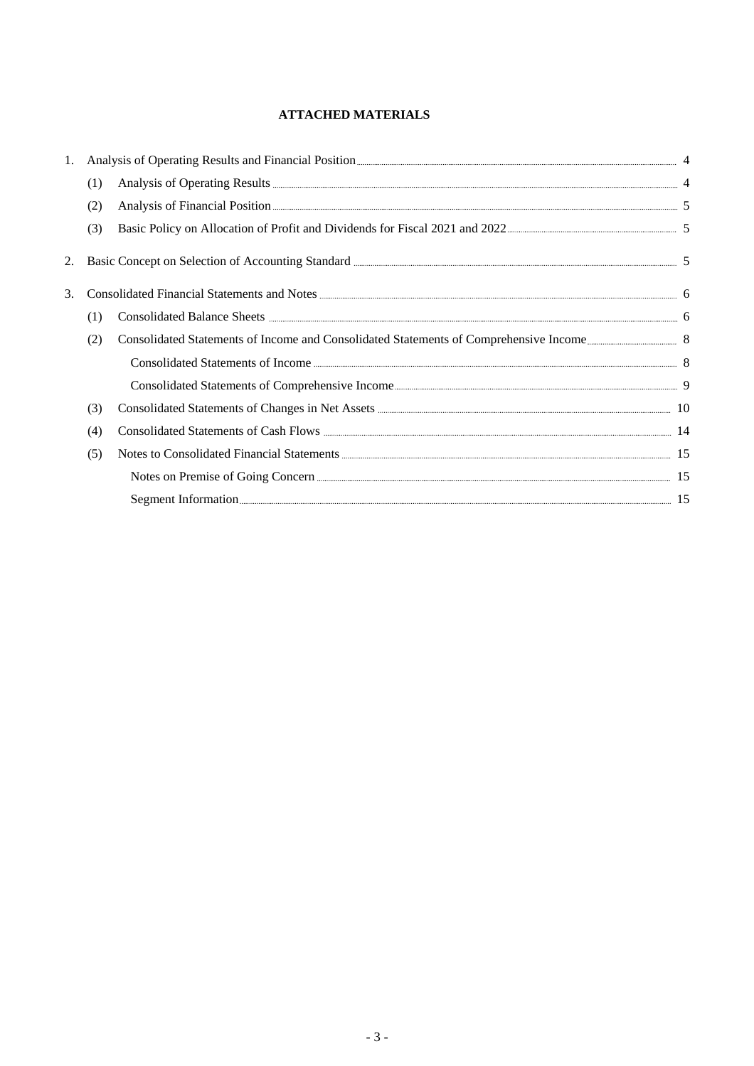# **ATTACHED MATERIALS**

| 1. |     |                                                                                                                                                                                                                                |  |
|----|-----|--------------------------------------------------------------------------------------------------------------------------------------------------------------------------------------------------------------------------------|--|
|    | (1) |                                                                                                                                                                                                                                |  |
|    | (2) | Analysis of Financial Position <b>Exercise Analysis</b> 5                                                                                                                                                                      |  |
|    | (3) |                                                                                                                                                                                                                                |  |
| 2. |     | Basic Concept on Selection of Accounting Standard <u>Election</u> 3 5                                                                                                                                                          |  |
| 3. |     | Consolidated Financial Statements and Notes <b>Exercise 2016</b> 6                                                                                                                                                             |  |
|    | (1) |                                                                                                                                                                                                                                |  |
|    | (2) |                                                                                                                                                                                                                                |  |
|    |     |                                                                                                                                                                                                                                |  |
|    |     |                                                                                                                                                                                                                                |  |
|    | (3) |                                                                                                                                                                                                                                |  |
|    | (4) |                                                                                                                                                                                                                                |  |
|    | (5) | Notes to Consolidated Financial Statements 2000 and 2000 and 2000 and 2000 and 2000 and 2000 and 2000 and 2000 and 2000 and 2000 and 2000 and 2000 and 2000 and 2000 and 2000 and 2000 and 2000 and 2000 and 2000 and 2000 and |  |
|    |     |                                                                                                                                                                                                                                |  |
|    |     | Segment Information                                                                                                                                                                                                            |  |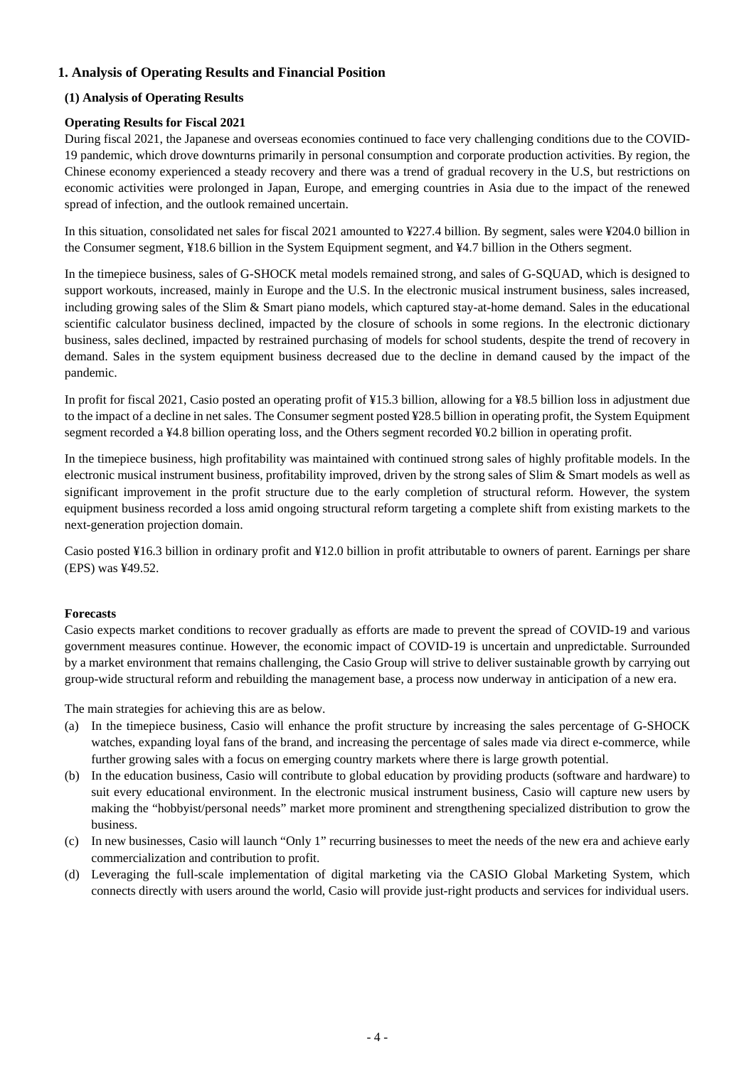# **1. Analysis of Operating Results and Financial Position**

## **(1) Analysis of Operating Results**

## **Operating Results for Fiscal 2021**

During fiscal 2021, the Japanese and overseas economies continued to face very challenging conditions due to the COVID-19 pandemic, which drove downturns primarily in personal consumption and corporate production activities. By region, the Chinese economy experienced a steady recovery and there was a trend of gradual recovery in the U.S, but restrictions on economic activities were prolonged in Japan, Europe, and emerging countries in Asia due to the impact of the renewed spread of infection, and the outlook remained uncertain.

In this situation, consolidated net sales for fiscal 2021 amounted to ¥227.4 billion. By segment, sales were ¥204.0 billion in the Consumer segment, ¥18.6 billion in the System Equipment segment, and ¥4.7 billion in the Others segment.

In the timepiece business, sales of G-SHOCK metal models remained strong, and sales of G-SQUAD, which is designed to support workouts, increased, mainly in Europe and the U.S. In the electronic musical instrument business, sales increased, including growing sales of the Slim & Smart piano models, which captured stay-at-home demand. Sales in the educational scientific calculator business declined, impacted by the closure of schools in some regions. In the electronic dictionary business, sales declined, impacted by restrained purchasing of models for school students, despite the trend of recovery in demand. Sales in the system equipment business decreased due to the decline in demand caused by the impact of the pandemic.

In profit for fiscal 2021, Casio posted an operating profit of ¥15.3 billion, allowing for a ¥8.5 billion loss in adjustment due to the impact of a decline in net sales. The Consumer segment posted ¥28.5 billion in operating profit, the System Equipment segment recorded a ¥4.8 billion operating loss, and the Others segment recorded ¥0.2 billion in operating profit.

In the timepiece business, high profitability was maintained with continued strong sales of highly profitable models. In the electronic musical instrument business, profitability improved, driven by the strong sales of Slim & Smart models as well as significant improvement in the profit structure due to the early completion of structural reform. However, the system equipment business recorded a loss amid ongoing structural reform targeting a complete shift from existing markets to the next-generation projection domain.

Casio posted ¥16.3 billion in ordinary profit and ¥12.0 billion in profit attributable to owners of parent. Earnings per share (EPS) was ¥49.52.

#### **Forecasts**

Casio expects market conditions to recover gradually as efforts are made to prevent the spread of COVID-19 and various government measures continue. However, the economic impact of COVID-19 is uncertain and unpredictable. Surrounded by a market environment that remains challenging, the Casio Group will strive to deliver sustainable growth by carrying out group-wide structural reform and rebuilding the management base, a process now underway in anticipation of a new era.

The main strategies for achieving this are as below.

- (a) In the timepiece business, Casio will enhance the profit structure by increasing the sales percentage of G-SHOCK watches, expanding loyal fans of the brand, and increasing the percentage of sales made via direct e-commerce, while further growing sales with a focus on emerging country markets where there is large growth potential.
- (b) In the education business, Casio will contribute to global education by providing products (software and hardware) to suit every educational environment. In the electronic musical instrument business, Casio will capture new users by making the "hobbyist/personal needs" market more prominent and strengthening specialized distribution to grow the business.
- (c) In new businesses, Casio will launch "Only 1" recurring businesses to meet the needs of the new era and achieve early commercialization and contribution to profit.
- (d) Leveraging the full-scale implementation of digital marketing via the CASIO Global Marketing System, which connects directly with users around the world, Casio will provide just-right products and services for individual users.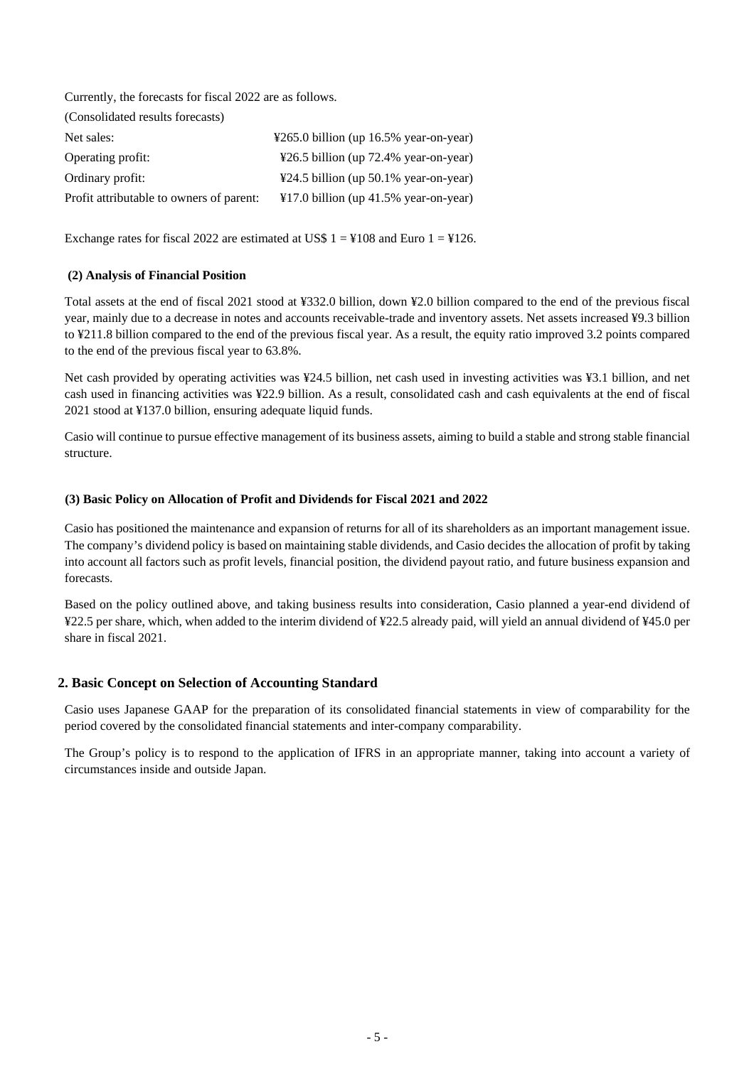Currently, the forecasts for fiscal 2022 are as follows.

| (Consolidated results forecasts)         |                                                            |
|------------------------------------------|------------------------------------------------------------|
| Net sales:                               | $\text{\textdegree}265.0$ billion (up 16.5% year-on-year)  |
| Operating profit:                        | $\text{\textsterling}26.5$ billion (up 72.4% year-on-year) |
| Ordinary profit:                         | $\text{\textsterling}24.5$ billion (up 50.1% year-on-year) |
| Profit attributable to owners of parent: | $\text{\textsterling}17.0$ billion (up 41.5% year-on-year) |

Exchange rates for fiscal 2022 are estimated at US\$  $1 = 4108$  and Euro  $1 = 4126$ .

#### **(2) Analysis of Financial Position**

Total assets at the end of fiscal 2021 stood at ¥332.0 billion, down ¥2.0 billion compared to the end of the previous fiscal year, mainly due to a decrease in notes and accounts receivable-trade and inventory assets. Net assets increased ¥9.3 billion to ¥211.8 billion compared to the end of the previous fiscal year. As a result, the equity ratio improved 3.2 points compared to the end of the previous fiscal year to 63.8%.

Net cash provided by operating activities was ¥24.5 billion, net cash used in investing activities was ¥3.1 billion, and net cash used in financing activities was ¥22.9 billion. As a result, consolidated cash and cash equivalents at the end of fiscal 2021 stood at ¥137.0 billion, ensuring adequate liquid funds.

Casio will continue to pursue effective management of its business assets, aiming to build a stable and strong stable financial structure.

#### **(3) Basic Policy on Allocation of Profit and Dividends for Fiscal 2021 and 2022**

Casio has positioned the maintenance and expansion of returns for all of its shareholders as an important management issue. The company's dividend policy is based on maintaining stable dividends, and Casio decides the allocation of profit by taking into account all factors such as profit levels, financial position, the dividend payout ratio, and future business expansion and forecasts.

Based on the policy outlined above, and taking business results into consideration, Casio planned a year-end dividend of ¥22.5 per share, which, when added to the interim dividend of ¥22.5 already paid, will yield an annual dividend of ¥45.0 per share in fiscal 2021.

## **2. Basic Concept on Selection of Accounting Standard**

Casio uses Japanese GAAP for the preparation of its consolidated financial statements in view of comparability for the period covered by the consolidated financial statements and inter-company comparability.

The Group's policy is to respond to the application of IFRS in an appropriate manner, taking into account a variety of circumstances inside and outside Japan.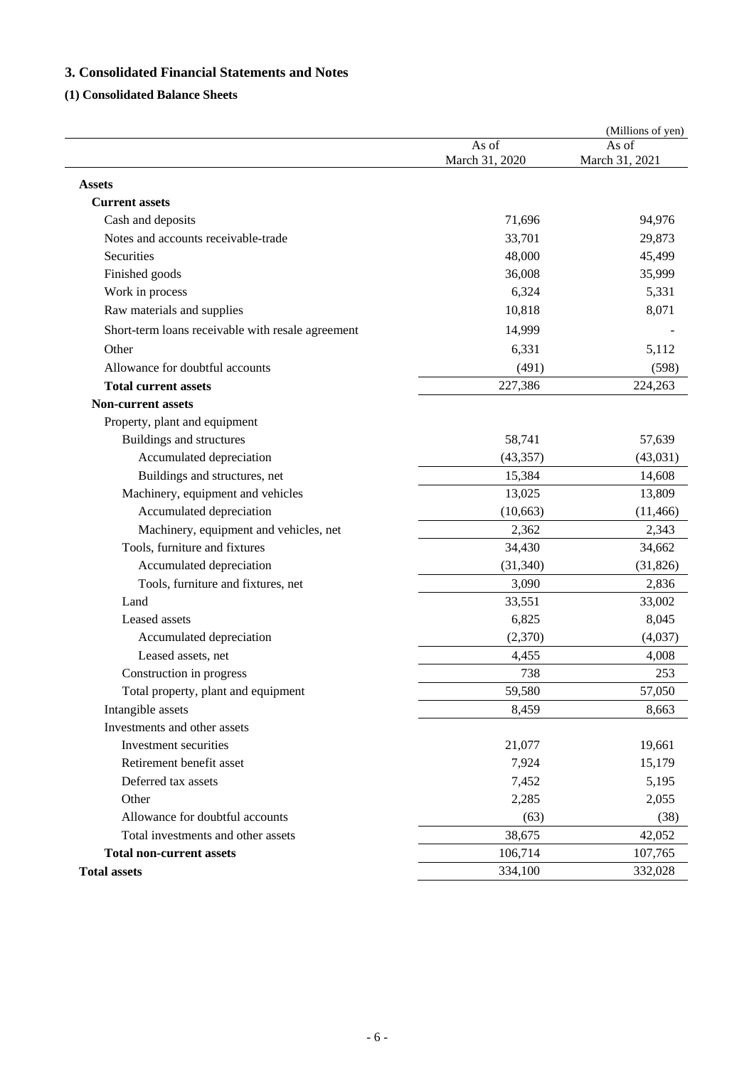# **3. Consolidated Financial Statements and Notes**

# **(1) Consolidated Balance Sheets**

|                                                   |                         | (Millions of yen)       |
|---------------------------------------------------|-------------------------|-------------------------|
|                                                   | As of<br>March 31, 2020 | As of<br>March 31, 2021 |
| <b>Assets</b>                                     |                         |                         |
| <b>Current assets</b>                             |                         |                         |
| Cash and deposits                                 | 71,696                  | 94,976                  |
| Notes and accounts receivable-trade               | 33,701                  | 29,873                  |
| Securities                                        | 48,000                  | 45,499                  |
| Finished goods                                    | 36,008                  | 35,999                  |
| Work in process                                   | 6,324                   | 5,331                   |
| Raw materials and supplies                        | 10,818                  | 8,071                   |
| Short-term loans receivable with resale agreement | 14,999                  |                         |
| Other                                             | 6,331                   | 5,112                   |
| Allowance for doubtful accounts                   | (491)                   | (598)                   |
| <b>Total current assets</b>                       | 227,386                 | 224,263                 |
| <b>Non-current assets</b>                         |                         |                         |
| Property, plant and equipment                     |                         |                         |
| Buildings and structures                          | 58,741                  | 57,639                  |
| Accumulated depreciation                          | (43, 357)               | (43, 031)               |
| Buildings and structures, net                     | 15,384                  | 14,608                  |
| Machinery, equipment and vehicles                 | 13,025                  | 13,809                  |
| Accumulated depreciation                          | (10, 663)               | (11, 466)               |
| Machinery, equipment and vehicles, net            | 2,362                   | 2,343                   |
| Tools, furniture and fixtures                     | 34,430                  | 34,662                  |
| Accumulated depreciation                          | (31, 340)               | (31, 826)               |
| Tools, furniture and fixtures, net                | 3,090                   | 2,836                   |
| Land                                              | 33,551                  | 33,002                  |
| Leased assets                                     | 6,825                   | 8,045                   |
| Accumulated depreciation                          | (2,370)                 | (4,037)                 |
| Leased assets, net                                | 4,455                   | 4,008                   |
| Construction in progress                          | 738                     | 253                     |
| Total property, plant and equipment               | 59,580                  | 57,050                  |
| Intangible assets                                 | 8,459                   | 8,663                   |
| Investments and other assets                      |                         |                         |
| Investment securities                             | 21,077                  | 19,661                  |
| Retirement benefit asset                          | 7,924                   | 15,179                  |
| Deferred tax assets                               | 7,452                   | 5,195                   |
| Other                                             | 2,285                   | 2,055                   |
| Allowance for doubtful accounts                   | (63)                    | (38)                    |
| Total investments and other assets                | 38,675                  | 42,052                  |
| <b>Total non-current assets</b>                   | 106,714                 | 107,765                 |
| <b>Total assets</b>                               | 334,100                 | 332,028                 |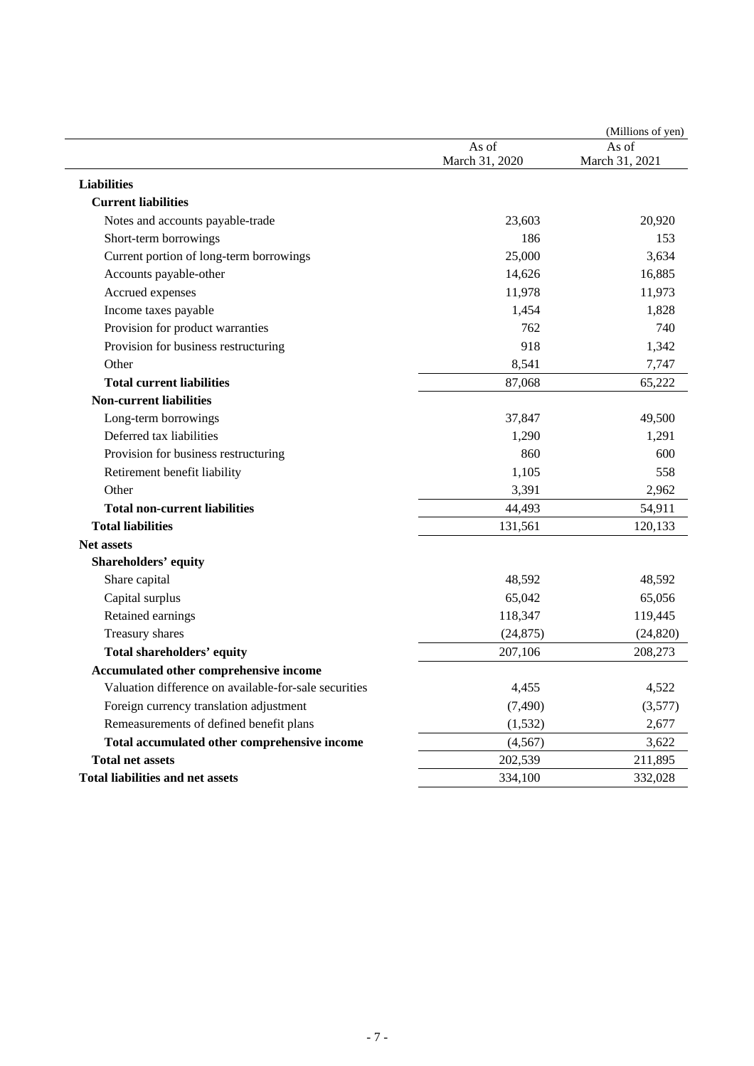|                                                       |                         | (Millions of yen)       |
|-------------------------------------------------------|-------------------------|-------------------------|
|                                                       | As of<br>March 31, 2020 | As of<br>March 31, 2021 |
| <b>Liabilities</b>                                    |                         |                         |
| <b>Current liabilities</b>                            |                         |                         |
| Notes and accounts payable-trade                      | 23,603                  | 20,920                  |
| Short-term borrowings                                 | 186                     | 153                     |
| Current portion of long-term borrowings               | 25,000                  | 3,634                   |
| Accounts payable-other                                | 14,626                  | 16,885                  |
| Accrued expenses                                      | 11,978                  | 11,973                  |
| Income taxes payable                                  | 1,454                   | 1,828                   |
| Provision for product warranties                      | 762                     | 740                     |
| Provision for business restructuring                  | 918                     | 1,342                   |
| Other                                                 | 8,541                   | 7,747                   |
| <b>Total current liabilities</b>                      | 87,068                  | 65,222                  |
| <b>Non-current liabilities</b>                        |                         |                         |
| Long-term borrowings                                  | 37,847                  | 49,500                  |
| Deferred tax liabilities                              | 1,290                   | 1,291                   |
| Provision for business restructuring                  | 860                     | 600                     |
| Retirement benefit liability                          | 1,105                   | 558                     |
| Other                                                 | 3,391                   | 2,962                   |
| <b>Total non-current liabilities</b>                  | 44,493                  | 54,911                  |
| <b>Total liabilities</b>                              | 131,561                 | 120,133                 |
| <b>Net assets</b>                                     |                         |                         |
| Shareholders' equity                                  |                         |                         |
| Share capital                                         | 48,592                  | 48,592                  |
| Capital surplus                                       | 65,042                  | 65,056                  |
| Retained earnings                                     | 118,347                 | 119,445                 |
| Treasury shares                                       | (24, 875)               | (24, 820)               |
| Total shareholders' equity                            | 207,106                 | 208,273                 |
| Accumulated other comprehensive income                |                         |                         |
| Valuation difference on available-for-sale securities | 4,455                   | 4,522                   |
| Foreign currency translation adjustment               | (7, 490)                | (3,577)                 |
| Remeasurements of defined benefit plans               | (1, 532)                | 2,677                   |
| Total accumulated other comprehensive income          | (4, 567)                | 3,622                   |
| <b>Total net assets</b>                               | 202,539                 | 211,895                 |
| <b>Total liabilities and net assets</b>               | 334,100                 | 332,028                 |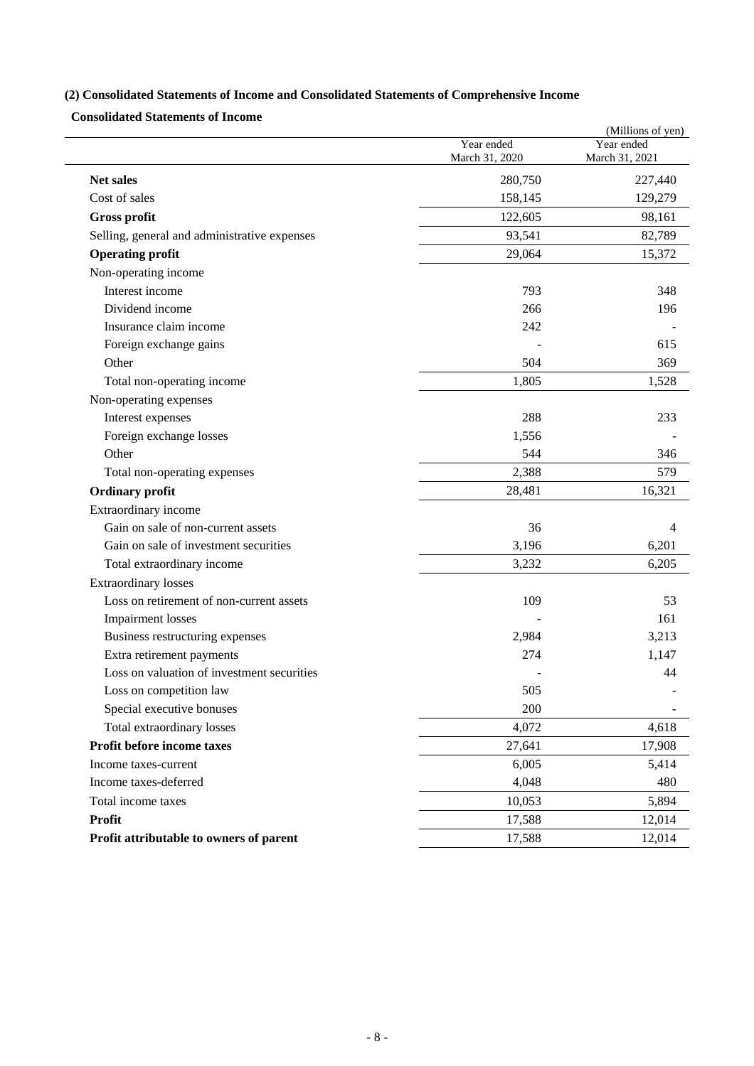# **(2) Consolidated Statements of Income and Consolidated Statements of Comprehensive Income**

**Consolidated Statements of Income** 

|                                              |                              | (Millions of yen)            |
|----------------------------------------------|------------------------------|------------------------------|
|                                              | Year ended<br>March 31, 2020 | Year ended<br>March 31, 2021 |
| <b>Net sales</b>                             | 280,750                      | 227,440                      |
| Cost of sales                                | 158,145                      | 129,279                      |
| Gross profit                                 | 122,605                      | 98,161                       |
| Selling, general and administrative expenses | 93,541                       | 82,789                       |
| <b>Operating profit</b>                      | 29,064                       | 15,372                       |
| Non-operating income                         |                              |                              |
| Interest income                              | 793                          | 348                          |
| Dividend income                              | 266                          | 196                          |
| Insurance claim income                       | 242                          |                              |
| Foreign exchange gains                       |                              | 615                          |
| Other                                        | 504                          | 369                          |
| Total non-operating income                   | 1,805                        | 1,528                        |
| Non-operating expenses                       |                              |                              |
| Interest expenses                            | 288                          | 233                          |
| Foreign exchange losses                      | 1,556                        |                              |
| Other                                        | 544                          | 346                          |
| Total non-operating expenses                 | 2,388                        | 579                          |
| <b>Ordinary profit</b>                       | 28,481                       | 16,321                       |
| Extraordinary income                         |                              |                              |
| Gain on sale of non-current assets           | 36                           | 4                            |
| Gain on sale of investment securities        | 3,196                        | 6,201                        |
| Total extraordinary income                   | 3,232                        | 6,205                        |
| <b>Extraordinary losses</b>                  |                              |                              |
| Loss on retirement of non-current assets     | 109                          | 53                           |
| <b>Impairment</b> losses                     |                              | 161                          |
| Business restructuring expenses              | 2,984                        | 3,213                        |
| Extra retirement payments                    | 274                          | 1,147                        |
| Loss on valuation of investment securities   |                              | 44                           |
| Loss on competition law                      | 505                          |                              |
| Special executive bonuses                    | 200                          |                              |
| Total extraordinary losses                   | 4,072                        | 4,618                        |
| Profit before income taxes                   | 27,641                       | 17,908                       |
| Income taxes-current                         | 6,005                        | 5,414                        |
| Income taxes-deferred                        | 4,048                        | 480                          |
| Total income taxes                           | 10,053                       | 5,894                        |
| <b>Profit</b>                                | 17,588                       | 12,014                       |
| Profit attributable to owners of parent      | 17,588                       | 12,014                       |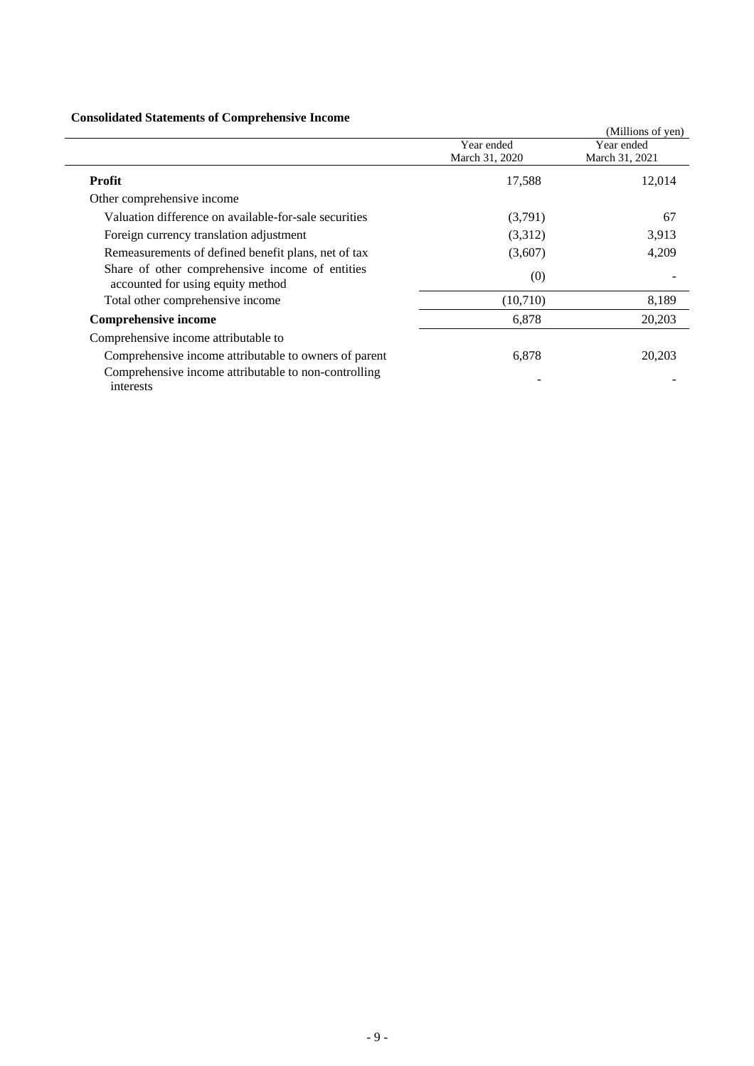# **Consolidated Statements of Comprehensive Income**

| Consolidated Statements of Complements of Income                                     |                |                   |
|--------------------------------------------------------------------------------------|----------------|-------------------|
|                                                                                      |                | (Millions of yen) |
|                                                                                      | Year ended     | Year ended        |
|                                                                                      | March 31, 2020 | March 31, 2021    |
| <b>Profit</b>                                                                        | 17,588         | 12,014            |
| Other comprehensive income                                                           |                |                   |
| Valuation difference on available-for-sale securities                                | (3,791)        | 67                |
| Foreign currency translation adjustment                                              | (3,312)        | 3,913             |
| Remeasurements of defined benefit plans, net of tax                                  | (3,607)        | 4,209             |
| Share of other comprehensive income of entities<br>accounted for using equity method | (0)            |                   |
| Total other comprehensive income                                                     | (10,710)       | 8,189             |
| <b>Comprehensive income</b>                                                          | 6,878          | 20,203            |
| Comprehensive income attributable to                                                 |                |                   |
| Comprehensive income attributable to owners of parent                                | 6,878          | 20,203            |
| Comprehensive income attributable to non-controlling<br>interests                    |                |                   |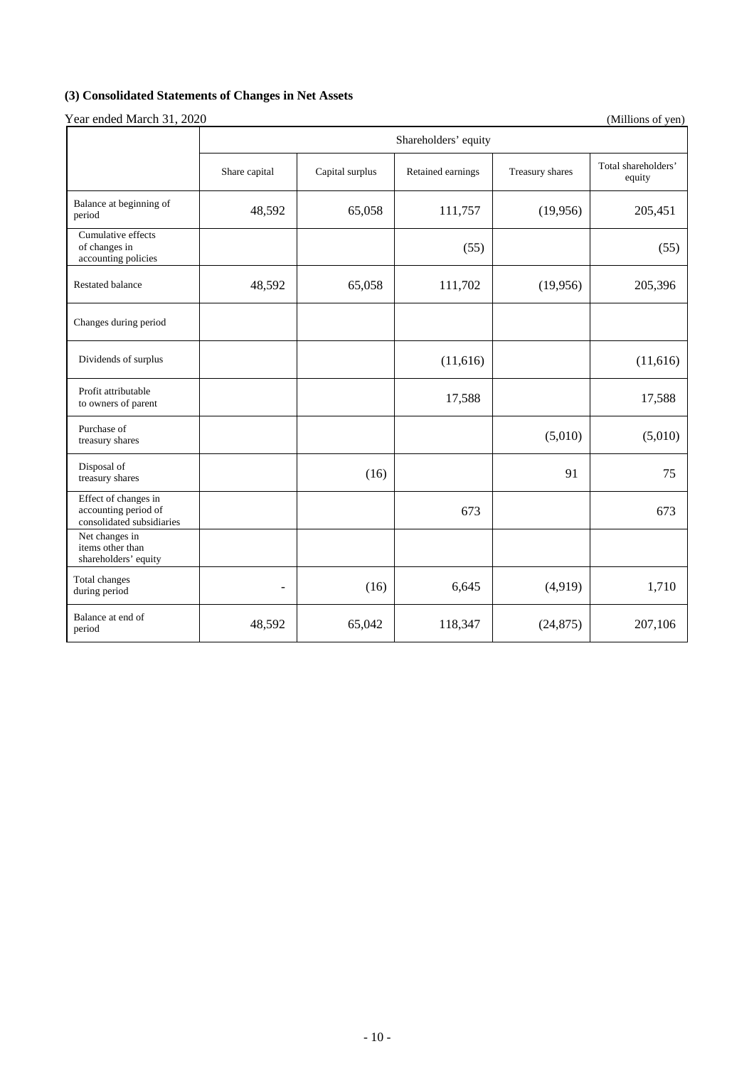# **(3) Consolidated Statements of Changes in Net Assets**

|                                                                           | Shareholders' equity |                 |                   |                 |                               |  |
|---------------------------------------------------------------------------|----------------------|-----------------|-------------------|-----------------|-------------------------------|--|
|                                                                           | Share capital        | Capital surplus | Retained earnings | Treasury shares | Total shareholders'<br>equity |  |
| Balance at beginning of<br>period                                         | 48,592               | 65,058          | 111,757           | (19,956)        | 205,451                       |  |
| Cumulative effects<br>of changes in<br>accounting policies                |                      |                 | (55)              |                 | (55)                          |  |
| <b>Restated balance</b>                                                   | 48,592               | 65,058          | 111,702           | (19,956)        | 205,396                       |  |
| Changes during period                                                     |                      |                 |                   |                 |                               |  |
| Dividends of surplus                                                      |                      |                 | (11,616)          |                 | (11,616)                      |  |
| Profit attributable<br>to owners of parent                                |                      |                 | 17,588            |                 | 17,588                        |  |
| Purchase of<br>treasury shares                                            |                      |                 |                   | (5,010)         | (5,010)                       |  |
| Disposal of<br>treasury shares                                            |                      | (16)            |                   | 91              | 75                            |  |
| Effect of changes in<br>accounting period of<br>consolidated subsidiaries |                      |                 | 673               |                 | 673                           |  |
| Net changes in<br>items other than<br>shareholders' equity                |                      |                 |                   |                 |                               |  |
| Total changes<br>during period                                            | ÷,                   | (16)            | 6,645             | (4,919)         | 1,710                         |  |
| Balance at end of<br>period                                               | 48,592               | 65,042          | 118,347           | (24, 875)       | 207,106                       |  |

Year ended March 31, 2020 (Millions of yen)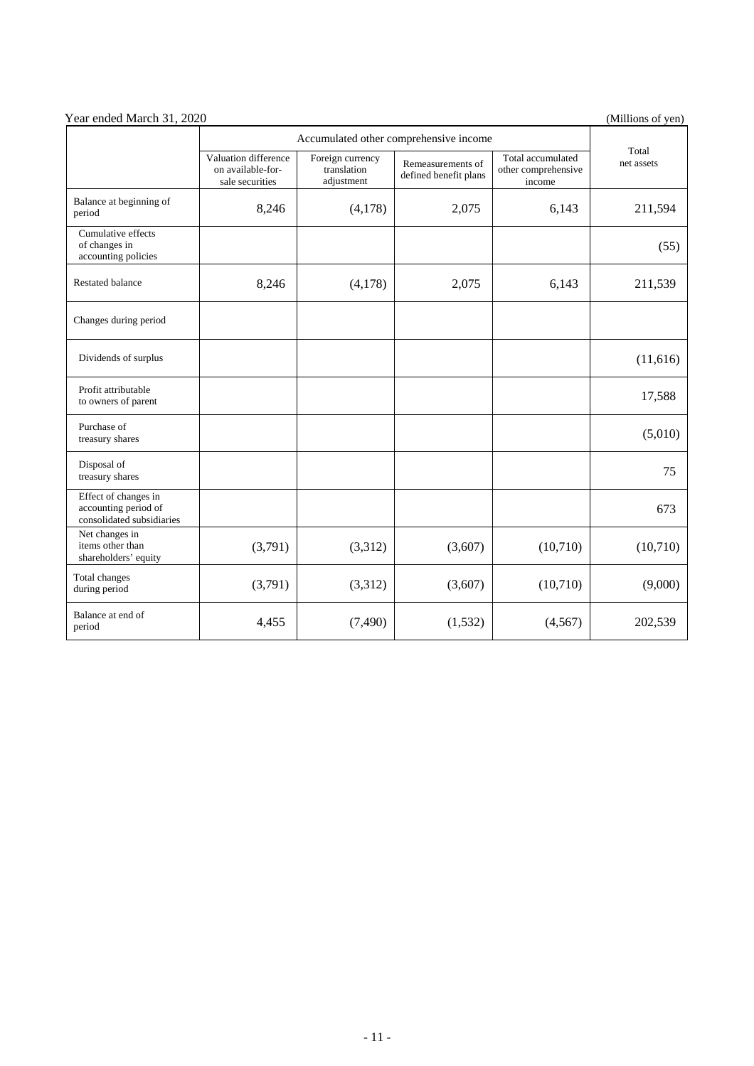| Year ended March 31, 2020                                                 |                                                              |                                               |                                            |                                                    | (Millions of yen)   |
|---------------------------------------------------------------------------|--------------------------------------------------------------|-----------------------------------------------|--------------------------------------------|----------------------------------------------------|---------------------|
|                                                                           | Accumulated other comprehensive income                       |                                               |                                            |                                                    |                     |
|                                                                           | Valuation difference<br>on available-for-<br>sale securities | Foreign currency<br>translation<br>adjustment | Remeasurements of<br>defined benefit plans | Total accumulated<br>other comprehensive<br>income | Total<br>net assets |
| Balance at beginning of<br>period                                         | 8,246                                                        | (4,178)                                       | 2,075                                      | 6,143                                              | 211,594             |
| Cumulative effects<br>of changes in<br>accounting policies                |                                                              |                                               |                                            |                                                    | (55)                |
| <b>Restated balance</b>                                                   | 8,246                                                        | (4,178)                                       | 2,075                                      | 6,143                                              | 211,539             |
| Changes during period                                                     |                                                              |                                               |                                            |                                                    |                     |
| Dividends of surplus                                                      |                                                              |                                               |                                            |                                                    | (11,616)            |
| Profit attributable<br>to owners of parent                                |                                                              |                                               |                                            |                                                    | 17,588              |
| Purchase of<br>treasury shares                                            |                                                              |                                               |                                            |                                                    | (5,010)             |
| Disposal of<br>treasury shares                                            |                                                              |                                               |                                            |                                                    | 75                  |
| Effect of changes in<br>accounting period of<br>consolidated subsidiaries |                                                              |                                               |                                            |                                                    | 673                 |
| Net changes in<br>items other than<br>shareholders' equity                | (3,791)                                                      | (3,312)                                       | (3,607)                                    | (10,710)                                           | (10,710)            |
| Total changes<br>during period                                            | (3,791)                                                      | (3,312)                                       | (3,607)                                    | (10,710)                                           | (9,000)             |
| Balance at end of<br>period                                               | 4,455                                                        | (7, 490)                                      | (1,532)                                    | (4, 567)                                           | 202,539             |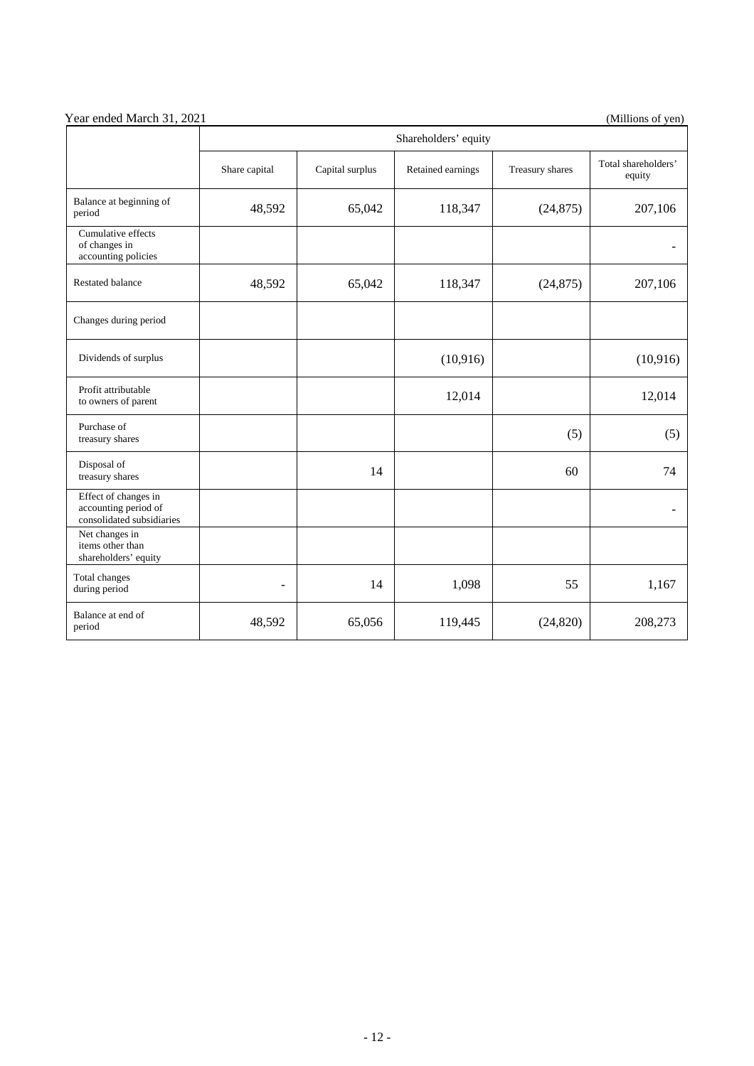| Year ended March 31, 2021 | (Millions of yen) |
|---------------------------|-------------------|

|                                                                           | Shareholders' equity |                 |                   |                 |                               |  |
|---------------------------------------------------------------------------|----------------------|-----------------|-------------------|-----------------|-------------------------------|--|
|                                                                           | Share capital        | Capital surplus | Retained earnings | Treasury shares | Total shareholders'<br>equity |  |
| Balance at beginning of<br>period                                         | 48,592               | 65,042          | 118,347           | (24, 875)       | 207,106                       |  |
| Cumulative effects<br>of changes in<br>accounting policies                |                      |                 |                   |                 |                               |  |
| <b>Restated balance</b>                                                   | 48,592               | 65,042          | 118,347           | (24, 875)       | 207,106                       |  |
| Changes during period                                                     |                      |                 |                   |                 |                               |  |
| Dividends of surplus                                                      |                      |                 | (10, 916)         |                 | (10, 916)                     |  |
| Profit attributable<br>to owners of parent                                |                      |                 | 12,014            |                 | 12,014                        |  |
| Purchase of<br>treasury shares                                            |                      |                 |                   | (5)             | (5)                           |  |
| Disposal of<br>treasury shares                                            |                      | 14              |                   | 60              | 74                            |  |
| Effect of changes in<br>accounting period of<br>consolidated subsidiaries |                      |                 |                   |                 |                               |  |
| Net changes in<br>items other than<br>shareholders' equity                |                      |                 |                   |                 |                               |  |
| Total changes<br>during period                                            | $\overline{a}$       | 14              | 1,098             | 55              | 1,167                         |  |
| Balance at end of<br>period                                               | 48,592               | 65,056          | 119,445           | (24, 820)       | 208,273                       |  |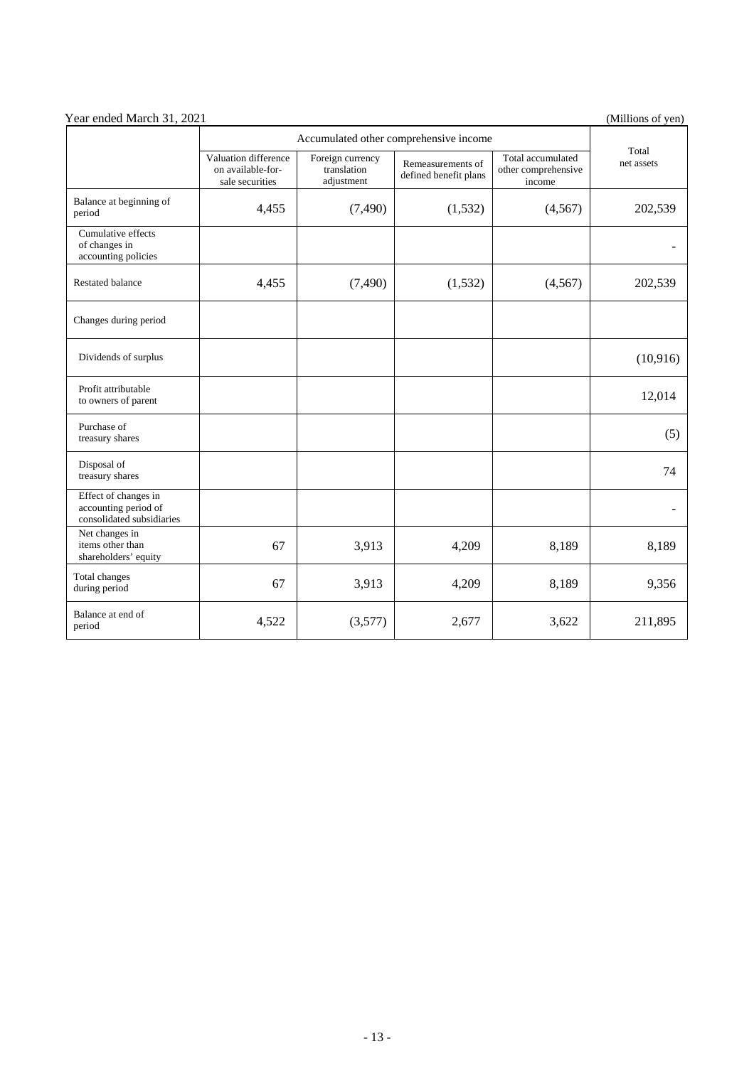| Year ended March 31, 2021                                                 |                                                              |                                                                                             |         |                                                    | (Millions of yen)   |
|---------------------------------------------------------------------------|--------------------------------------------------------------|---------------------------------------------------------------------------------------------|---------|----------------------------------------------------|---------------------|
|                                                                           | Accumulated other comprehensive income                       |                                                                                             |         |                                                    |                     |
|                                                                           | Valuation difference<br>on available-for-<br>sale securities | Foreign currency<br>Remeasurements of<br>translation<br>defined benefit plans<br>adjustment |         | Total accumulated<br>other comprehensive<br>income | Total<br>net assets |
| Balance at beginning of<br>period                                         | 4,455                                                        | (7,490)                                                                                     | (1,532) | (4,567)                                            | 202,539             |
| Cumulative effects<br>of changes in<br>accounting policies                |                                                              |                                                                                             |         |                                                    |                     |
| <b>Restated balance</b>                                                   | 4,455                                                        | (7,490)                                                                                     | (1,532) | (4,567)                                            | 202,539             |
| Changes during period                                                     |                                                              |                                                                                             |         |                                                    |                     |
| Dividends of surplus                                                      |                                                              |                                                                                             |         |                                                    | (10, 916)           |
| Profit attributable<br>to owners of parent                                |                                                              |                                                                                             |         |                                                    | 12,014              |
| Purchase of<br>treasury shares                                            |                                                              |                                                                                             |         |                                                    | (5)                 |
| Disposal of<br>treasury shares                                            |                                                              |                                                                                             |         |                                                    | 74                  |
| Effect of changes in<br>accounting period of<br>consolidated subsidiaries |                                                              |                                                                                             |         |                                                    |                     |
| Net changes in<br>items other than<br>shareholders' equity                | 67                                                           | 3,913                                                                                       | 4,209   | 8,189                                              | 8,189               |
| Total changes<br>during period                                            | 67                                                           | 3,913                                                                                       | 4,209   | 8,189                                              | 9,356               |
| Balance at end of<br>period                                               | 4,522                                                        | (3,577)                                                                                     | 2,677   | 3,622                                              | 211,895             |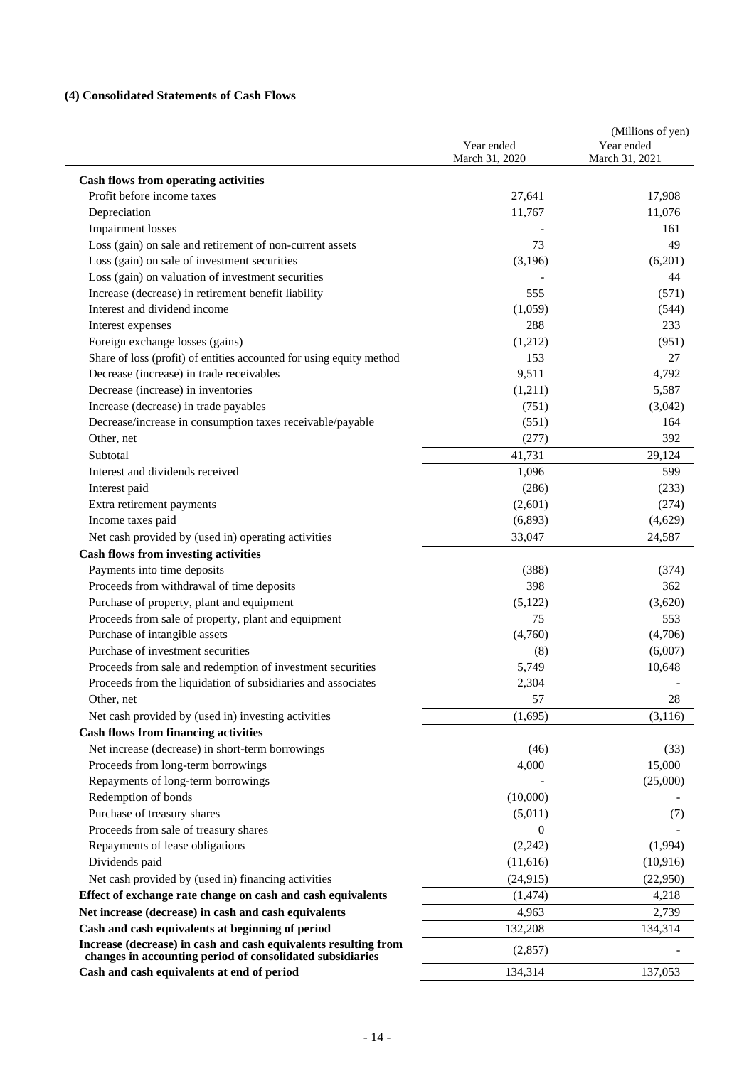# **(4) Consolidated Statements of Cash Flows**

|                                                                                                                              | Year ended     | (Millions of yen)<br>Year ended |
|------------------------------------------------------------------------------------------------------------------------------|----------------|---------------------------------|
|                                                                                                                              | March 31, 2020 | March 31, 2021                  |
| <b>Cash flows from operating activities</b>                                                                                  |                |                                 |
| Profit before income taxes                                                                                                   | 27,641         | 17,908                          |
| Depreciation                                                                                                                 | 11,767         | 11,076                          |
| <b>Impairment</b> losses                                                                                                     |                | 161                             |
| Loss (gain) on sale and retirement of non-current assets                                                                     | 73             | 49                              |
| Loss (gain) on sale of investment securities                                                                                 | (3,196)        | (6,201)                         |
| Loss (gain) on valuation of investment securities                                                                            |                | 44                              |
| Increase (decrease) in retirement benefit liability                                                                          | 555            | (571)                           |
| Interest and dividend income                                                                                                 | (1,059)        | (544)                           |
| Interest expenses                                                                                                            | 288            | 233                             |
| Foreign exchange losses (gains)                                                                                              | (1,212)        | (951)                           |
| Share of loss (profit) of entities accounted for using equity method                                                         | 153            | 27                              |
| Decrease (increase) in trade receivables                                                                                     | 9,511          | 4,792                           |
| Decrease (increase) in inventories                                                                                           | (1,211)        | 5,587                           |
| Increase (decrease) in trade payables                                                                                        | (751)          | (3,042)                         |
| Decrease/increase in consumption taxes receivable/payable                                                                    | (551)          | 164                             |
| Other, net                                                                                                                   | (277)          | 392                             |
| Subtotal                                                                                                                     | 41,731         | 29,124                          |
| Interest and dividends received                                                                                              | 1,096          | 599                             |
| Interest paid                                                                                                                | (286)          | (233)                           |
| Extra retirement payments                                                                                                    | (2,601)        | (274)                           |
| Income taxes paid                                                                                                            | (6,893)        | (4,629)                         |
| Net cash provided by (used in) operating activities                                                                          | 33,047         | 24,587                          |
| <b>Cash flows from investing activities</b>                                                                                  |                |                                 |
| Payments into time deposits                                                                                                  | (388)          | (374)                           |
| Proceeds from withdrawal of time deposits                                                                                    | 398            | 362                             |
| Purchase of property, plant and equipment                                                                                    | (5,122)        | (3,620)                         |
| Proceeds from sale of property, plant and equipment                                                                          | 75             | 553                             |
| Purchase of intangible assets                                                                                                | (4,760)        | (4,706)                         |
| Purchase of investment securities                                                                                            | (8)            | (6,007)                         |
| Proceeds from sale and redemption of investment securities                                                                   | 5,749          | 10,648                          |
| Proceeds from the liquidation of subsidiaries and associates                                                                 | 2,304          |                                 |
| Other, net                                                                                                                   | 57             | 28                              |
| Net cash provided by (used in) investing activities                                                                          | (1,695)        | (3, 116)                        |
| <b>Cash flows from financing activities</b>                                                                                  |                |                                 |
| Net increase (decrease) in short-term borrowings                                                                             | (46)           | (33)                            |
| Proceeds from long-term borrowings                                                                                           | 4,000          | 15,000                          |
| Repayments of long-term borrowings                                                                                           |                | (25,000)                        |
| Redemption of bonds                                                                                                          | (10,000)       |                                 |
| Purchase of treasury shares                                                                                                  | (5,011)        | (7)                             |
| Proceeds from sale of treasury shares                                                                                        | $\mathbf{0}$   |                                 |
| Repayments of lease obligations                                                                                              | (2,242)        | (1,994)                         |
| Dividends paid                                                                                                               |                |                                 |
|                                                                                                                              | (11,616)       | (10, 916)                       |
| Net cash provided by (used in) financing activities                                                                          | (24, 915)      | (22,950)                        |
| Effect of exchange rate change on cash and cash equivalents                                                                  | (1, 474)       | 4,218                           |
| Net increase (decrease) in cash and cash equivalents                                                                         | 4,963          | 2,739                           |
| Cash and cash equivalents at beginning of period                                                                             | 132,208        | 134,314                         |
| Increase (decrease) in cash and cash equivalents resulting from<br>changes in accounting period of consolidated subsidiaries | (2,857)        |                                 |
| Cash and cash equivalents at end of period                                                                                   | 134,314        | 137,053                         |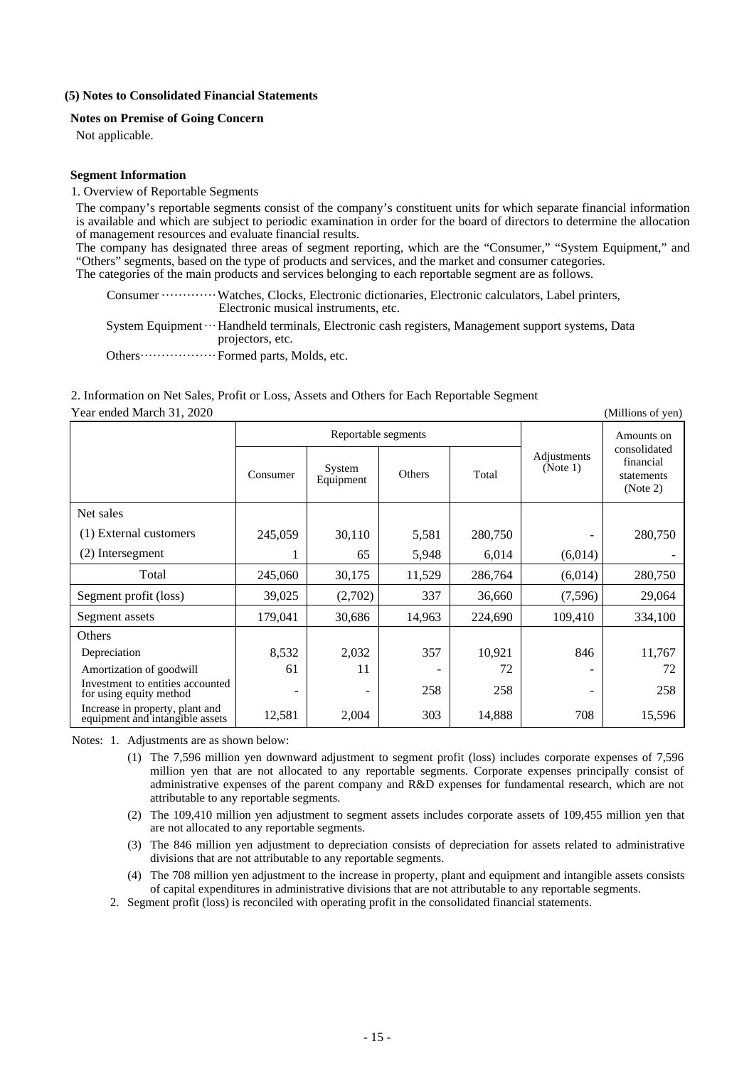#### **(5) Notes to Consolidated Financial Statements**

#### **Notes on Premise of Going Concern**

Not applicable.

#### **Segment Information**

#### 1. Overview of Reportable Segments

The company's reportable segments consist of the company's constituent units for which separate financial information is available and which are subject to periodic examination in order for the board of directors to determine the allocation of management resources and evaluate financial results.

The company has designated three areas of segment reporting, which are the "Consumer," "System Equipment," and "Others" segments, based on the type of products and services, and the market and consumer categories. The categories of the main products and services belonging to each reportable segment are as follows.

Consumer ············· Watches, Clocks, Electronic dictionaries, Electronic calculators, Label printers,

Electronic musical instruments, etc.

System Equipment ··· Handheld terminals, Electronic cash registers, Management support systems, Data projectors, etc.

Others ························ Formed parts, Molds, etc.

# 2. Information on Net Sales, Profit or Loss, Assets and Others for Each Reportable Segment

Year ended March 31, 2020 (Millions of yen)

|                                                                    |          | Reportable segments |        |         |                         | Amounts on<br>consolidated<br>financial<br>statements<br>(Note 2) |
|--------------------------------------------------------------------|----------|---------------------|--------|---------|-------------------------|-------------------------------------------------------------------|
|                                                                    | Consumer | System<br>Equipment | Others | Total   | Adjustments<br>(Note 1) |                                                                   |
| Net sales                                                          |          |                     |        |         |                         |                                                                   |
| (1) External customers                                             | 245,059  | 30,110              | 5,581  | 280,750 |                         | 280,750                                                           |
| (2) Intersegment                                                   |          | 65                  | 5,948  | 6,014   | (6,014)                 |                                                                   |
| Total                                                              | 245,060  | 30,175              | 11,529 | 286,764 | (6,014)                 | 280,750                                                           |
| Segment profit (loss)                                              | 39,025   | (2,702)             | 337    | 36,660  | (7,596)                 | 29,064                                                            |
| Segment assets                                                     | 179,041  | 30,686              | 14,963 | 224,690 | 109,410                 | 334,100                                                           |
| <b>Others</b>                                                      |          |                     |        |         |                         |                                                                   |
| Depreciation                                                       | 8,532    | 2,032               | 357    | 10,921  | 846                     | 11,767                                                            |
| Amortization of goodwill                                           | 61       | 11                  |        | 72      |                         | 72                                                                |
| Investment to entities accounted<br>for using equity method        |          |                     | 258    | 258     | -                       | 258                                                               |
| Increase in property, plant and<br>equipment and intangible assets | 12,581   | 2,004               | 303    | 14,888  | 708                     | 15,596                                                            |

Notes: 1. Adjustments are as shown below:

- (1) The 7,596 million yen downward adjustment to segment profit (loss) includes corporate expenses of 7,596 million yen that are not allocated to any reportable segments. Corporate expenses principally consist of administrative expenses of the parent company and R&D expenses for fundamental research, which are not attributable to any reportable segments.
- (2) The 109,410 million yen adjustment to segment assets includes corporate assets of 109,455 million yen that are not allocated to any reportable segments.
- (3) The 846 million yen adjustment to depreciation consists of depreciation for assets related to administrative divisions that are not attributable to any reportable segments.
- (4) The 708 million yen adjustment to the increase in property, plant and equipment and intangible assets consists of capital expenditures in administrative divisions that are not attributable to any reportable segments.
- 2. Segment profit (loss) is reconciled with operating profit in the consolidated financial statements.